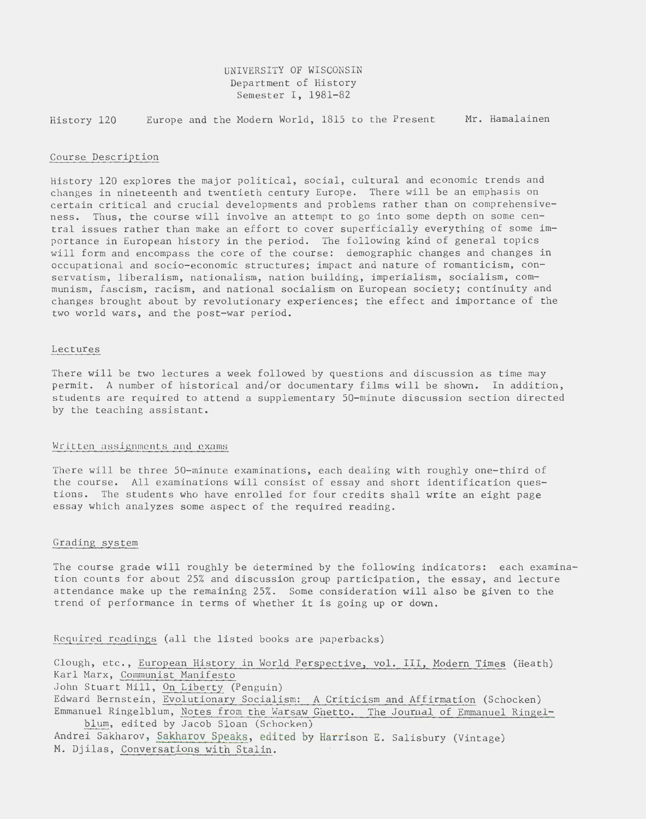# UNIVERSITY OF WISCONSIN Department of History Semester I, 1981-82

History 120 Europe and the Modern World, 1815 to the Present Mr. Hamalainen

## Course Description

History 120 explores the major political, social, cultural and economic trends and changes in nineteenth and twentieth century Europe. There will be an emphasis on certain critical and crucial developments and problems rather than on comprehensiveness. Thus, the course will involve an attempt to go into some depth on some central issues rather than make an effort to cover superficially everything of some importance in European history in the period. The following kind of general topics will form and encompass the core of the course: demographic changes and changes in occupational and socio-economic structures; impact and nature of romanticism, conservatism, liberalism, nationalism, nation building, imperialism, socialism, communism, fascism, racism, and national socialism on European society; continuity and changes brought about by revolutionary experiences; the effect and importance of the two world wars, and the post-war period.

#### Lectures

There will be two lectures a week followed by questions and discussion as time may permit. A number of historical and/or documentary films will be shown. In addition, students are required to attend a supplementary 50-minute discussion section directed by the teaching assistant.

### Written assignments and exams

There will be three 50-minute examinations, each dealing with roughly one-third of the course. All examinations will consist of essay and short identification questions. The students who have enrolled for four credits shall write an eight page essay which analyzes some aspect of the required reading.

## Grading system

The course grade will roughly be determined by the following indicators: each examination counts for about 25% and discussion group participation, the essay, and lecture attendance make up the remaining 25%. Some consideration will also be given to the trend of performance in terms of whether it is going up or down.

Required readings (all the listed books are paperbacks)

Clough, etc., European History in World Perspective, vol. III, Modern Times (Heath) Karl Marx, Communist Manifesto John Stuart Mill, On Liberty (Penguin) Edward Bernstein, Evolutionary Socialism: A Criticism and Affirmation (Schocken) Emmanuel Ringelblum, Notes from the Warsaw Ghetto. The Journal of Emmanuel Ringelblum, edited by Jacob Sloan (Schocken) Andrei Sakharov, Sakharov Speaks, edited by Harrison E. Salisbury (Vintage) M. Djilas, Conversations with Stalin.